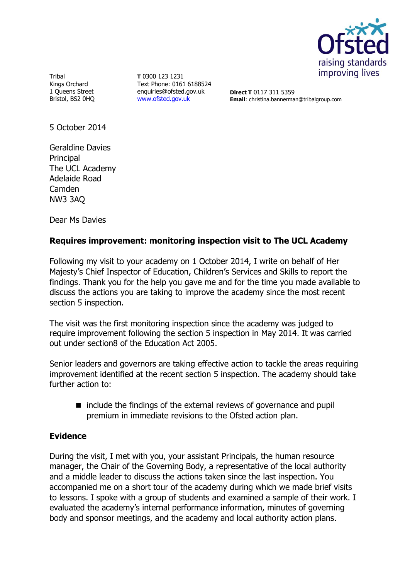

Tribal Kings Orchard 1 Queens Street Bristol, BS2 0HQ

**T** 0300 123 1231 Text Phone: 0161 6188524 enquiries@ofsted.gov.uk [www.ofsted.gov.uk](http://www.ofsted.gov.uk/)

**Direct T** 0117 311 5359 **Email**: christina.bannerman@tribalgroup.com

5 October 2014

Geraldine Davies **Principal** The UCL Academy Adelaide Road Camden NW3 3AQ

Dear Ms Davies

## **Requires improvement: monitoring inspection visit to The UCL Academy**

Following my visit to your academy on 1 October 2014, I write on behalf of Her Majesty's Chief Inspector of Education, Children's Services and Skills to report the findings. Thank you for the help you gave me and for the time you made available to discuss the actions you are taking to improve the academy since the most recent section 5 inspection.

The visit was the first monitoring inspection since the academy was judged to require improvement following the section 5 inspection in May 2014. It was carried out under section8 of the Education Act 2005.

Senior leaders and governors are taking effective action to tackle the areas requiring improvement identified at the recent section 5 inspection. The academy should take further action to:

■ include the findings of the external reviews of governance and pupil premium in immediate revisions to the Ofsted action plan.

### **Evidence**

During the visit, I met with you, your assistant Principals, the human resource manager, the Chair of the Governing Body, a representative of the local authority and a middle leader to discuss the actions taken since the last inspection. You accompanied me on a short tour of the academy during which we made brief visits to lessons. I spoke with a group of students and examined a sample of their work. I evaluated the academy's internal performance information, minutes of governing body and sponsor meetings, and the academy and local authority action plans.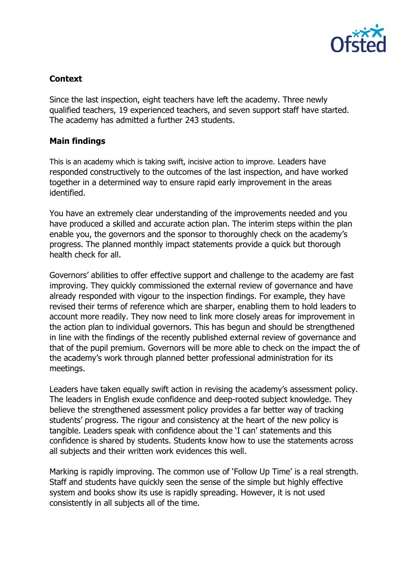

# **Context**

Since the last inspection, eight teachers have left the academy. Three newly qualified teachers, 19 experienced teachers, and seven support staff have started. The academy has admitted a further 243 students.

### **Main findings**

This is an academy which is taking swift, incisive action to improve. Leaders have responded constructively to the outcomes of the last inspection, and have worked together in a determined way to ensure rapid early improvement in the areas identified.

You have an extremely clear understanding of the improvements needed and you have produced a skilled and accurate action plan. The interim steps within the plan enable you, the governors and the sponsor to thoroughly check on the academy's progress. The planned monthly impact statements provide a quick but thorough health check for all.

Governors' abilities to offer effective support and challenge to the academy are fast improving. They quickly commissioned the external review of governance and have already responded with vigour to the inspection findings. For example, they have revised their terms of reference which are sharper, enabling them to hold leaders to account more readily. They now need to link more closely areas for improvement in the action plan to individual governors. This has begun and should be strengthened in line with the findings of the recently published external review of governance and that of the pupil premium. Governors will be more able to check on the impact the of the academy's work through planned better professional administration for its meetings.

Leaders have taken equally swift action in revising the academy's assessment policy. The leaders in English exude confidence and deep-rooted subject knowledge. They believe the strengthened assessment policy provides a far better way of tracking students' progress. The rigour and consistency at the heart of the new policy is tangible. Leaders speak with confidence about the 'I can' statements and this confidence is shared by students. Students know how to use the statements across all subjects and their written work evidences this well.

Marking is rapidly improving. The common use of 'Follow Up Time' is a real strength. Staff and students have quickly seen the sense of the simple but highly effective system and books show its use is rapidly spreading. However, it is not used consistently in all subjects all of the time.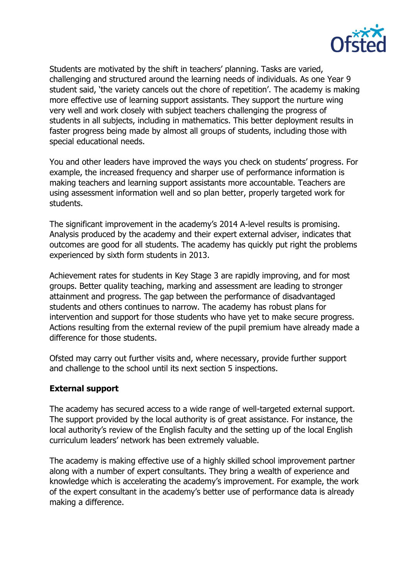

Students are motivated by the shift in teachers' planning. Tasks are varied, challenging and structured around the learning needs of individuals. As one Year 9 student said, 'the variety cancels out the chore of repetition'. The academy is making more effective use of learning support assistants. They support the nurture wing very well and work closely with subject teachers challenging the progress of students in all subjects, including in mathematics. This better deployment results in faster progress being made by almost all groups of students, including those with special educational needs.

You and other leaders have improved the ways you check on students' progress. For example, the increased frequency and sharper use of performance information is making teachers and learning support assistants more accountable. Teachers are using assessment information well and so plan better, properly targeted work for students.

The significant improvement in the academy's 2014 A-level results is promising. Analysis produced by the academy and their expert external adviser, indicates that outcomes are good for all students. The academy has quickly put right the problems experienced by sixth form students in 2013.

Achievement rates for students in Key Stage 3 are rapidly improving, and for most groups. Better quality teaching, marking and assessment are leading to stronger attainment and progress. The gap between the performance of disadvantaged students and others continues to narrow. The academy has robust plans for intervention and support for those students who have yet to make secure progress. Actions resulting from the external review of the pupil premium have already made a difference for those students.

Ofsted may carry out further visits and, where necessary, provide further support and challenge to the school until its next section 5 inspections.

### **External support**

The academy has secured access to a wide range of well-targeted external support. The support provided by the local authority is of great assistance. For instance, the local authority's review of the English faculty and the setting up of the local English curriculum leaders' network has been extremely valuable.

The academy is making effective use of a highly skilled school improvement partner along with a number of expert consultants. They bring a wealth of experience and knowledge which is accelerating the academy's improvement. For example, the work of the expert consultant in the academy's better use of performance data is already making a difference.